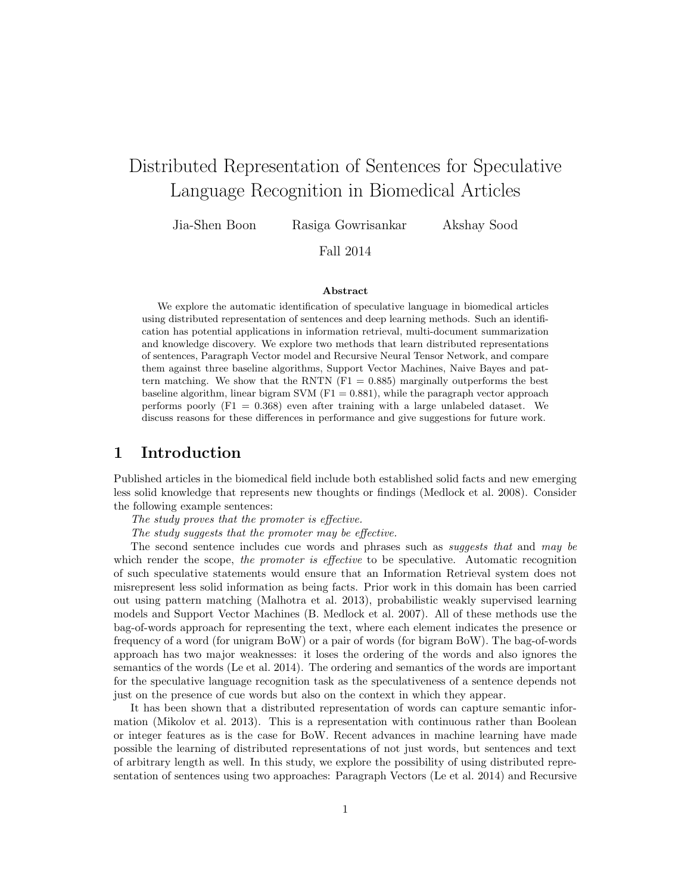# Distributed Representation of Sentences for Speculative Language Recognition in Biomedical Articles

Jia-Shen Boon Rasiga Gowrisankar Akshay Sood

### Fall 2014

#### Abstract

We explore the automatic identification of speculative language in biomedical articles using distributed representation of sentences and deep learning methods. Such an identification has potential applications in information retrieval, multi-document summarization and knowledge discovery. We explore two methods that learn distributed representations of sentences, Paragraph Vector model and Recursive Neural Tensor Network, and compare them against three baseline algorithms, Support Vector Machines, Naive Bayes and pattern matching. We show that the RNTN  $(F1 = 0.885)$  marginally outperforms the best baseline algorithm, linear bigram SVM  $(F1 = 0.881)$ , while the paragraph vector approach performs poorly  $(F1 = 0.368)$  even after training with a large unlabeled dataset. We discuss reasons for these differences in performance and give suggestions for future work.

### 1 Introduction

Published articles in the biomedical field include both established solid facts and new emerging less solid knowledge that represents new thoughts or findings (Medlock et al. 2008). Consider the following example sentences:

The study proves that the promoter is effective.

The study suggests that the promoter may be effective.

The second sentence includes cue words and phrases such as *suggests that* and may be which render the scope, the promoter is effective to be speculative. Automatic recognition of such speculative statements would ensure that an Information Retrieval system does not misrepresent less solid information as being facts. Prior work in this domain has been carried out using pattern matching (Malhotra et al. 2013), probabilistic weakly supervised learning models and Support Vector Machines (B. Medlock et al. 2007). All of these methods use the bag-of-words approach for representing the text, where each element indicates the presence or frequency of a word (for unigram BoW) or a pair of words (for bigram BoW). The bag-of-words approach has two major weaknesses: it loses the ordering of the words and also ignores the semantics of the words (Le et al. 2014). The ordering and semantics of the words are important for the speculative language recognition task as the speculativeness of a sentence depends not just on the presence of cue words but also on the context in which they appear.

It has been shown that a distributed representation of words can capture semantic information (Mikolov et al. 2013). This is a representation with continuous rather than Boolean or integer features as is the case for BoW. Recent advances in machine learning have made possible the learning of distributed representations of not just words, but sentences and text of arbitrary length as well. In this study, we explore the possibility of using distributed representation of sentences using two approaches: Paragraph Vectors (Le et al. 2014) and Recursive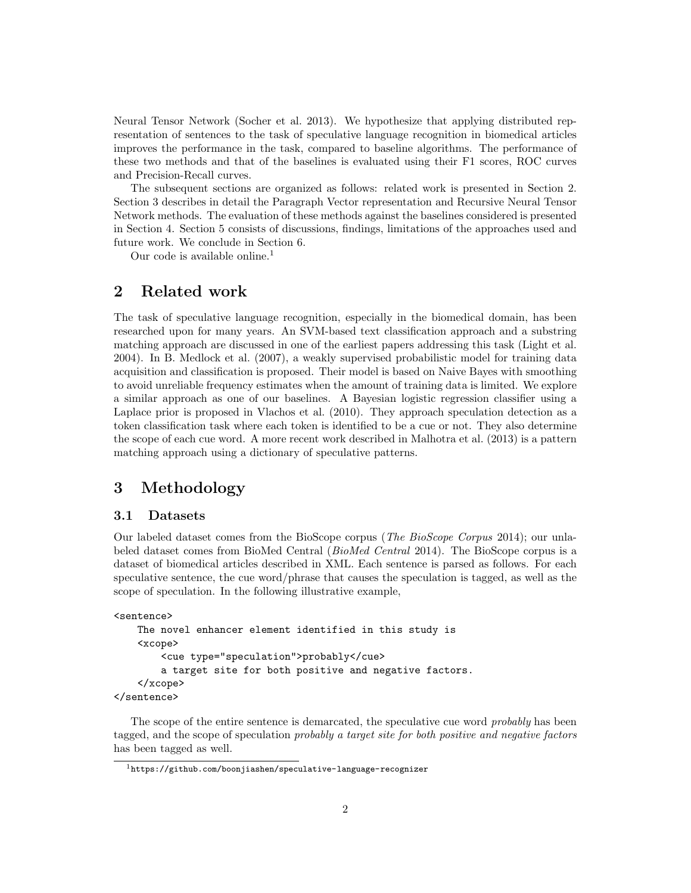Neural Tensor Network (Socher et al. 2013). We hypothesize that applying distributed representation of sentences to the task of speculative language recognition in biomedical articles improves the performance in the task, compared to baseline algorithms. The performance of these two methods and that of the baselines is evaluated using their F1 scores, ROC curves and Precision-Recall curves.

The subsequent sections are organized as follows: related work is presented in Section 2. Section 3 describes in detail the Paragraph Vector representation and Recursive Neural Tensor Network methods. The evaluation of these methods against the baselines considered is presented in Section 4. Section 5 consists of discussions, findings, limitations of the approaches used and future work. We conclude in Section 6.

Our code is available online.<sup>1</sup>

### 2 Related work

The task of speculative language recognition, especially in the biomedical domain, has been researched upon for many years. An SVM-based text classification approach and a substring matching approach are discussed in one of the earliest papers addressing this task (Light et al. 2004). In B. Medlock et al. (2007), a weakly supervised probabilistic model for training data acquisition and classification is proposed. Their model is based on Naive Bayes with smoothing to avoid unreliable frequency estimates when the amount of training data is limited. We explore a similar approach as one of our baselines. A Bayesian logistic regression classifier using a Laplace prior is proposed in Vlachos et al. (2010). They approach speculation detection as a token classification task where each token is identified to be a cue or not. They also determine the scope of each cue word. A more recent work described in Malhotra et al. (2013) is a pattern matching approach using a dictionary of speculative patterns.

### 3 Methodology

#### 3.1 Datasets

Our labeled dataset comes from the BioScope corpus (The BioScope Corpus 2014); our unlabeled dataset comes from BioMed Central (BioMed Central 2014). The BioScope corpus is a dataset of biomedical articles described in XML. Each sentence is parsed as follows. For each speculative sentence, the cue word/phrase that causes the speculation is tagged, as well as the scope of speculation. In the following illustrative example,

```
<sentence>
    The novel enhancer element identified in this study is
    <xcope>
        <cue type="speculation">probably</cue>
        a target site for both positive and negative factors.
    </xcope>
</sentence>
```
The scope of the entire sentence is demarcated, the speculative cue word *probably* has been tagged, and the scope of speculation probably a target site for both positive and negative factors has been tagged as well.

<sup>1</sup>https://github.com/boonjiashen/speculative-language-recognizer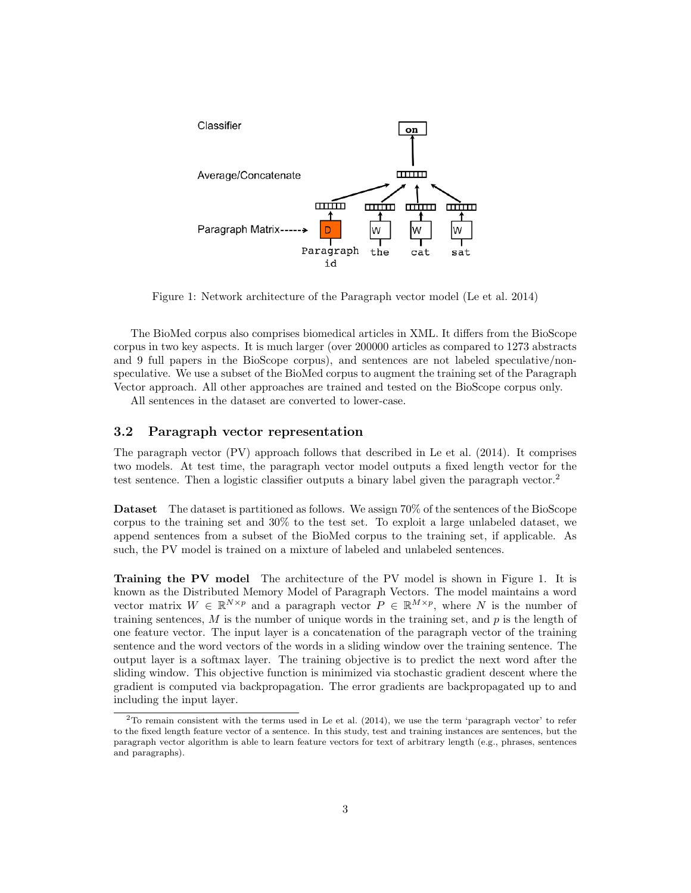

Figure 1: Network architecture of the Paragraph vector model (Le et al. 2014)

The BioMed corpus also comprises biomedical articles in XML. It differs from the BioScope corpus in two key aspects. It is much larger (over 200000 articles as compared to 1273 abstracts and 9 full papers in the BioScope corpus), and sentences are not labeled speculative/nonspeculative. We use a subset of the BioMed corpus to augment the training set of the Paragraph Vector approach. All other approaches are trained and tested on the BioScope corpus only.

All sentences in the dataset are converted to lower-case.

#### 3.2 Paragraph vector representation

The paragraph vector (PV) approach follows that described in Le et al. (2014). It comprises two models. At test time, the paragraph vector model outputs a fixed length vector for the test sentence. Then a logistic classifier outputs a binary label given the paragraph vector.<sup>2</sup>

Dataset The dataset is partitioned as follows. We assign 70% of the sentences of the BioScope corpus to the training set and 30% to the test set. To exploit a large unlabeled dataset, we append sentences from a subset of the BioMed corpus to the training set, if applicable. As such, the PV model is trained on a mixture of labeled and unlabeled sentences.

Training the PV model The architecture of the PV model is shown in Figure 1. It is known as the Distributed Memory Model of Paragraph Vectors. The model maintains a word vector matrix  $W \in \mathbb{R}^{N \times p}$  and a paragraph vector  $P \in \mathbb{R}^{M \times p}$ , where N is the number of training sentences,  $M$  is the number of unique words in the training set, and  $p$  is the length of one feature vector. The input layer is a concatenation of the paragraph vector of the training sentence and the word vectors of the words in a sliding window over the training sentence. The output layer is a softmax layer. The training objective is to predict the next word after the sliding window. This objective function is minimized via stochastic gradient descent where the gradient is computed via backpropagation. The error gradients are backpropagated up to and including the input layer.

 $2$ To remain consistent with the terms used in Le et al. (2014), we use the term 'paragraph vector' to refer to the fixed length feature vector of a sentence. In this study, test and training instances are sentences, but the paragraph vector algorithm is able to learn feature vectors for text of arbitrary length (e.g., phrases, sentences and paragraphs).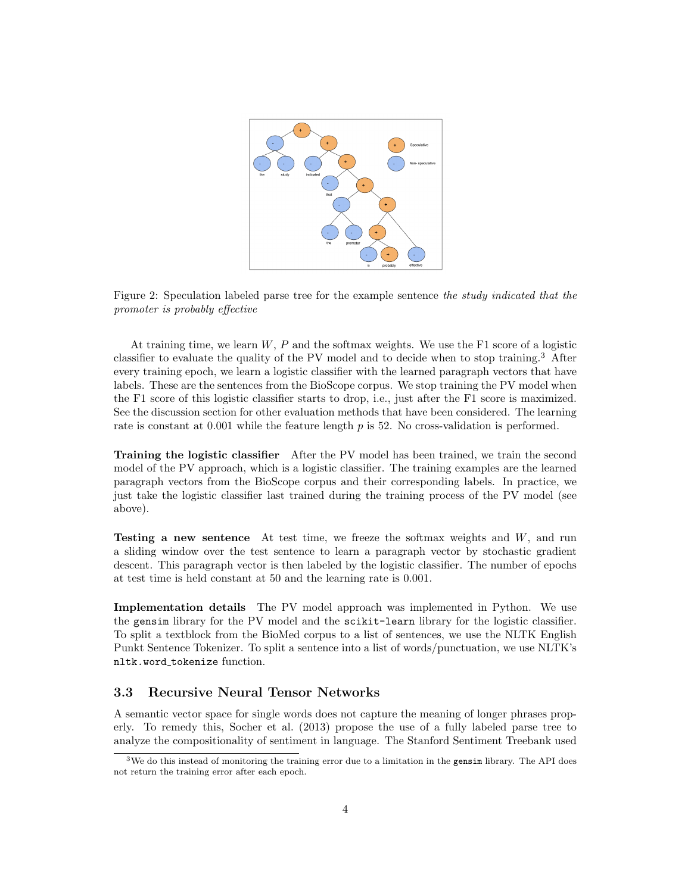

Figure 2: Speculation labeled parse tree for the example sentence the study indicated that the promoter is probably effective

At training time, we learn  $W, P$  and the softmax weights. We use the F1 score of a logistic classifier to evaluate the quality of the PV model and to decide when to stop training.<sup>3</sup> After every training epoch, we learn a logistic classifier with the learned paragraph vectors that have labels. These are the sentences from the BioScope corpus. We stop training the PV model when the F1 score of this logistic classifier starts to drop, i.e., just after the F1 score is maximized. See the discussion section for other evaluation methods that have been considered. The learning rate is constant at  $0.001$  while the feature length  $p$  is 52. No cross-validation is performed.

Training the logistic classifier After the PV model has been trained, we train the second model of the PV approach, which is a logistic classifier. The training examples are the learned paragraph vectors from the BioScope corpus and their corresponding labels. In practice, we just take the logistic classifier last trained during the training process of the PV model (see above).

Testing a new sentence At test time, we freeze the softmax weights and W, and run a sliding window over the test sentence to learn a paragraph vector by stochastic gradient descent. This paragraph vector is then labeled by the logistic classifier. The number of epochs at test time is held constant at 50 and the learning rate is 0.001.

Implementation details The PV model approach was implemented in Python. We use the gensim library for the PV model and the scikit-learn library for the logistic classifier. To split a textblock from the BioMed corpus to a list of sentences, we use the NLTK English Punkt Sentence Tokenizer. To split a sentence into a list of words/punctuation, we use NLTK's nltk.word\_tokenize function.

#### 3.3 Recursive Neural Tensor Networks

A semantic vector space for single words does not capture the meaning of longer phrases properly. To remedy this, Socher et al. (2013) propose the use of a fully labeled parse tree to analyze the compositionality of sentiment in language. The Stanford Sentiment Treebank used

<sup>&</sup>lt;sup>3</sup>We do this instead of monitoring the training error due to a limitation in the gensim library. The API does not return the training error after each epoch.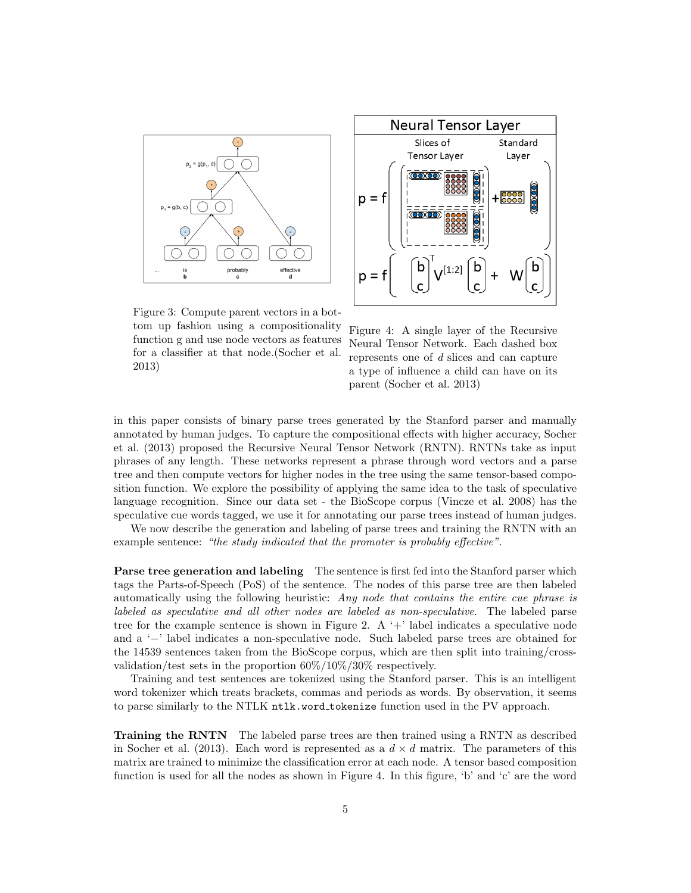



Figure 3: Compute parent vectors in a bottom up fashion using a compositionality function g and use node vectors as features for a classifier at that node.(Socher et al. 2013)

Figure 4: A single layer of the Recursive Neural Tensor Network. Each dashed box represents one of d slices and can capture a type of influence a child can have on its parent (Socher et al. 2013)

in this paper consists of binary parse trees generated by the Stanford parser and manually annotated by human judges. To capture the compositional effects with higher accuracy, Socher et al. (2013) proposed the Recursive Neural Tensor Network (RNTN). RNTNs take as input phrases of any length. These networks represent a phrase through word vectors and a parse tree and then compute vectors for higher nodes in the tree using the same tensor-based composition function. We explore the possibility of applying the same idea to the task of speculative language recognition. Since our data set - the BioScope corpus (Vincze et al. 2008) has the speculative cue words tagged, we use it for annotating our parse trees instead of human judges.

We now describe the generation and labeling of parse trees and training the RNTN with an example sentence: "the study indicated that the promoter is probably effective".

Parse tree generation and labeling The sentence is first fed into the Stanford parser which tags the Parts-of-Speech (PoS) of the sentence. The nodes of this parse tree are then labeled automatically using the following heuristic: Any node that contains the entire cue phrase is labeled as speculative and all other nodes are labeled as non-speculative. The labeled parse tree for the example sentence is shown in Figure 2. A  $+$ ' label indicates a speculative node and a '−' label indicates a non-speculative node. Such labeled parse trees are obtained for the 14539 sentences taken from the BioScope corpus, which are then split into training/crossvalidation/test sets in the proportion 60%/10%/30% respectively.

Training and test sentences are tokenized using the Stanford parser. This is an intelligent word tokenizer which treats brackets, commas and periods as words. By observation, it seems to parse similarly to the NTLK ntlk.word tokenize function used in the PV approach.

Training the RNTN The labeled parse trees are then trained using a RNTN as described in Socher et al. (2013). Each word is represented as a  $d \times d$  matrix. The parameters of this matrix are trained to minimize the classification error at each node. A tensor based composition function is used for all the nodes as shown in Figure 4. In this figure, 'b' and 'c' are the word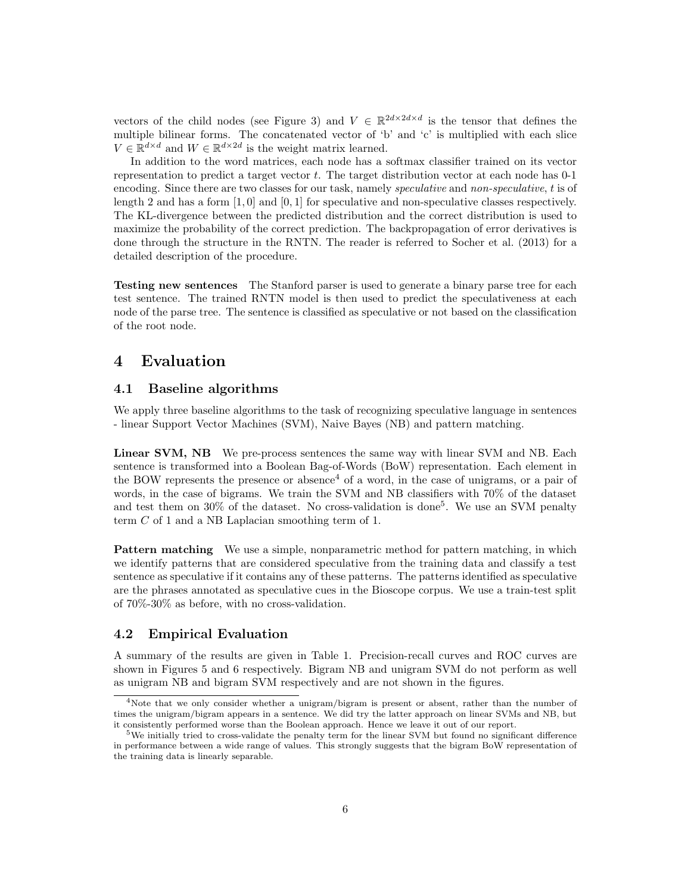vectors of the child nodes (see Figure 3) and  $V \in \mathbb{R}^{2d \times 2d \times d}$  is the tensor that defines the multiple bilinear forms. The concatenated vector of 'b' and 'c' is multiplied with each slice  $V \in \mathbb{R}^{d \times d}$  and  $W \in \mathbb{R}^{d \times 2d}$  is the weight matrix learned.

In addition to the word matrices, each node has a softmax classifier trained on its vector representation to predict a target vector t. The target distribution vector at each node has 0-1 encoding. Since there are two classes for our task, namely *speculative* and *non-speculative*, t is of length 2 and has a form  $[1, 0]$  and  $[0, 1]$  for speculative and non-speculative classes respectively. The KL-divergence between the predicted distribution and the correct distribution is used to maximize the probability of the correct prediction. The backpropagation of error derivatives is done through the structure in the RNTN. The reader is referred to Socher et al. (2013) for a detailed description of the procedure.

Testing new sentences The Stanford parser is used to generate a binary parse tree for each test sentence. The trained RNTN model is then used to predict the speculativeness at each node of the parse tree. The sentence is classified as speculative or not based on the classification of the root node.

### 4 Evaluation

#### 4.1 Baseline algorithms

We apply three baseline algorithms to the task of recognizing speculative language in sentences - linear Support Vector Machines (SVM), Naive Bayes (NB) and pattern matching.

Linear SVM, NB We pre-process sentences the same way with linear SVM and NB. Each sentence is transformed into a Boolean Bag-of-Words (BoW) representation. Each element in the BOW represents the presence or absence<sup>4</sup> of a word, in the case of unigrams, or a pair of words, in the case of bigrams. We train the SVM and NB classifiers with 70% of the dataset and test them on 30% of the dataset. No cross-validation is done<sup>5</sup>. We use an SVM penalty term C of 1 and a NB Laplacian smoothing term of 1.

**Pattern matching** We use a simple, nonparametric method for pattern matching, in which we identify patterns that are considered speculative from the training data and classify a test sentence as speculative if it contains any of these patterns. The patterns identified as speculative are the phrases annotated as speculative cues in the Bioscope corpus. We use a train-test split of 70%-30% as before, with no cross-validation.

#### 4.2 Empirical Evaluation

A summary of the results are given in Table 1. Precision-recall curves and ROC curves are shown in Figures 5 and 6 respectively. Bigram NB and unigram SVM do not perform as well as unigram NB and bigram SVM respectively and are not shown in the figures.

<sup>&</sup>lt;sup>4</sup>Note that we only consider whether a unigram/bigram is present or absent, rather than the number of times the unigram/bigram appears in a sentence. We did try the latter approach on linear SVMs and NB, but it consistently performed worse than the Boolean approach. Hence we leave it out of our report.

<sup>5</sup>We initially tried to cross-validate the penalty term for the linear SVM but found no significant difference in performance between a wide range of values. This strongly suggests that the bigram BoW representation of the training data is linearly separable.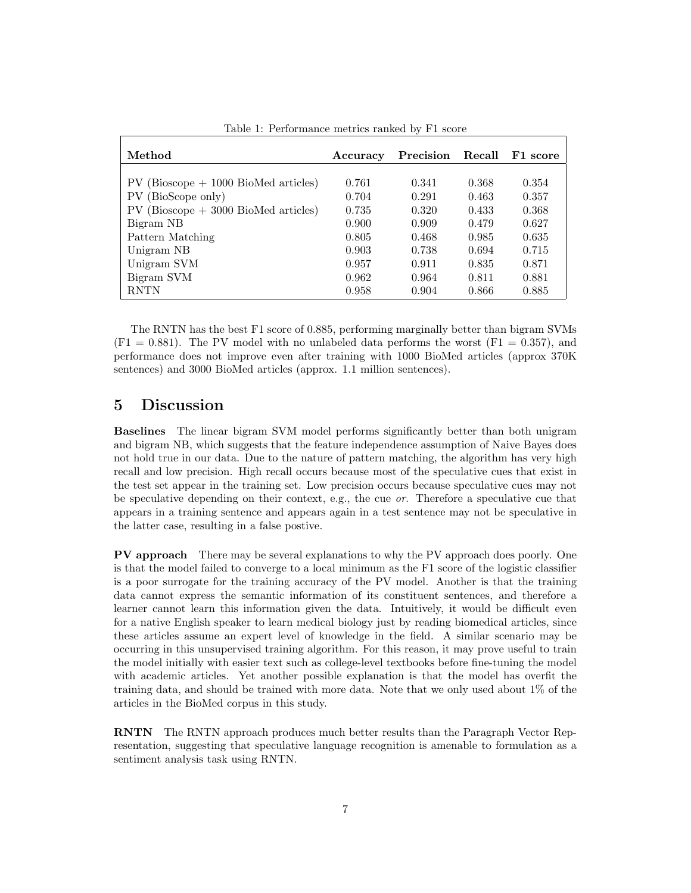| Method                                  | Accuracy | Precision | Recall | F1 score |
|-----------------------------------------|----------|-----------|--------|----------|
|                                         |          |           |        |          |
| $PV$ (Bioscope $+1000$ BioMed articles) | 0.761    | 0.341     | 0.368  | 0.354    |
| (BioScope only)<br>PV.                  | 0.704    | 0.291     | 0.463  | 0.357    |
| $PV$ (Bioscope $+3000$ BioMed articles) | 0.735    | 0.320     | 0.433  | 0.368    |
| Bigram NB                               | 0.900    | 0.909     | 0.479  | 0.627    |
| Pattern Matching                        | 0.805    | 0.468     | 0.985  | 0.635    |
| Unigram NB                              | 0.903    | 0.738     | 0.694  | 0.715    |
| Unigram SVM                             | 0.957    | 0.911     | 0.835  | 0.871    |
| Bigram SVM                              | 0.962    | 0.964     | 0.811  | 0.881    |
| <b>RNTN</b>                             | 0.958    | 0.904     | 0.866  | 0.885    |

Table 1: Performance metrics ranked by F1 score

The RNTN has the best F1 score of 0.885, performing marginally better than bigram SVMs  $(F1 = 0.881)$ . The PV model with no unlabeled data performs the worst  $(F1 = 0.357)$ , and performance does not improve even after training with 1000 BioMed articles (approx 370K sentences) and 3000 BioMed articles (approx. 1.1 million sentences).

### 5 Discussion

Baselines The linear bigram SVM model performs significantly better than both unigram and bigram NB, which suggests that the feature independence assumption of Naive Bayes does not hold true in our data. Due to the nature of pattern matching, the algorithm has very high recall and low precision. High recall occurs because most of the speculative cues that exist in the test set appear in the training set. Low precision occurs because speculative cues may not be speculative depending on their context, e.g., the cue or. Therefore a speculative cue that appears in a training sentence and appears again in a test sentence may not be speculative in the latter case, resulting in a false postive.

PV approach There may be several explanations to why the PV approach does poorly. One is that the model failed to converge to a local minimum as the F1 score of the logistic classifier is a poor surrogate for the training accuracy of the PV model. Another is that the training data cannot express the semantic information of its constituent sentences, and therefore a learner cannot learn this information given the data. Intuitively, it would be difficult even for a native English speaker to learn medical biology just by reading biomedical articles, since these articles assume an expert level of knowledge in the field. A similar scenario may be occurring in this unsupervised training algorithm. For this reason, it may prove useful to train the model initially with easier text such as college-level textbooks before fine-tuning the model with academic articles. Yet another possible explanation is that the model has overfit the training data, and should be trained with more data. Note that we only used about 1% of the articles in the BioMed corpus in this study.

RNTN The RNTN approach produces much better results than the Paragraph Vector Representation, suggesting that speculative language recognition is amenable to formulation as a sentiment analysis task using RNTN.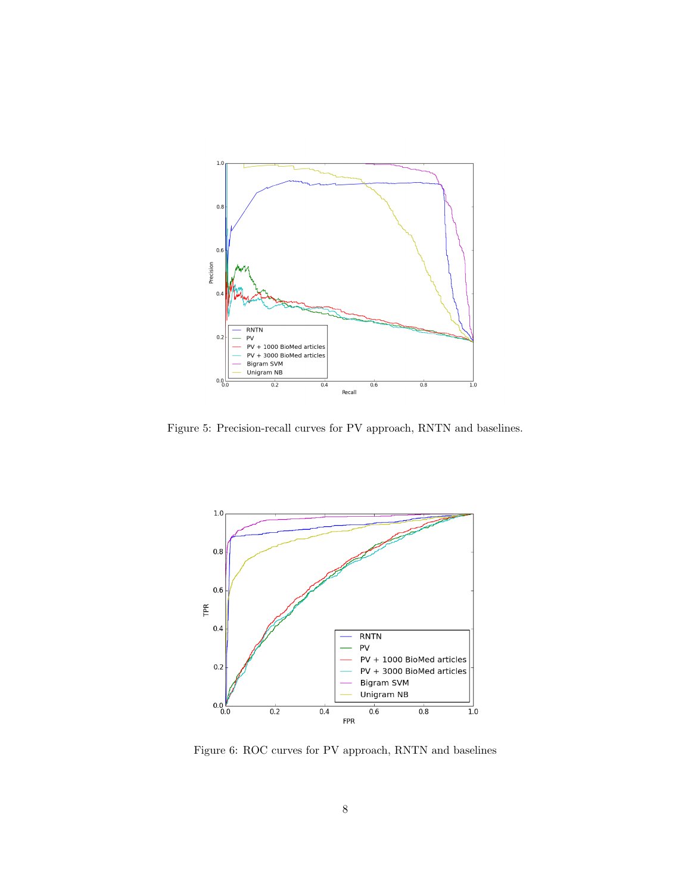

Figure 5: Precision-recall curves for PV approach, RNTN and baselines.



Figure 6: ROC curves for PV approach, RNTN and baselines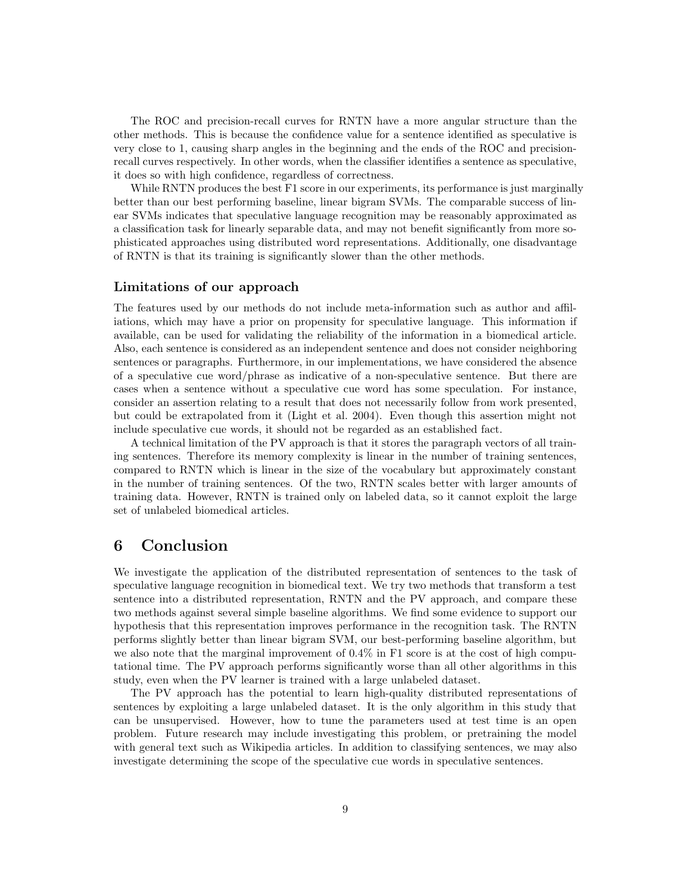The ROC and precision-recall curves for RNTN have a more angular structure than the other methods. This is because the confidence value for a sentence identified as speculative is very close to 1, causing sharp angles in the beginning and the ends of the ROC and precisionrecall curves respectively. In other words, when the classifier identifies a sentence as speculative, it does so with high confidence, regardless of correctness.

While RNTN produces the best F1 score in our experiments, its performance is just marginally better than our best performing baseline, linear bigram SVMs. The comparable success of linear SVMs indicates that speculative language recognition may be reasonably approximated as a classification task for linearly separable data, and may not benefit significantly from more sophisticated approaches using distributed word representations. Additionally, one disadvantage of RNTN is that its training is significantly slower than the other methods.

#### Limitations of our approach

The features used by our methods do not include meta-information such as author and affiliations, which may have a prior on propensity for speculative language. This information if available, can be used for validating the reliability of the information in a biomedical article. Also, each sentence is considered as an independent sentence and does not consider neighboring sentences or paragraphs. Furthermore, in our implementations, we have considered the absence of a speculative cue word/phrase as indicative of a non-speculative sentence. But there are cases when a sentence without a speculative cue word has some speculation. For instance, consider an assertion relating to a result that does not necessarily follow from work presented, but could be extrapolated from it (Light et al. 2004). Even though this assertion might not include speculative cue words, it should not be regarded as an established fact.

A technical limitation of the PV approach is that it stores the paragraph vectors of all training sentences. Therefore its memory complexity is linear in the number of training sentences, compared to RNTN which is linear in the size of the vocabulary but approximately constant in the number of training sentences. Of the two, RNTN scales better with larger amounts of training data. However, RNTN is trained only on labeled data, so it cannot exploit the large set of unlabeled biomedical articles.

### 6 Conclusion

We investigate the application of the distributed representation of sentences to the task of speculative language recognition in biomedical text. We try two methods that transform a test sentence into a distributed representation, RNTN and the PV approach, and compare these two methods against several simple baseline algorithms. We find some evidence to support our hypothesis that this representation improves performance in the recognition task. The RNTN performs slightly better than linear bigram SVM, our best-performing baseline algorithm, but we also note that the marginal improvement of  $0.4\%$  in F1 score is at the cost of high computational time. The PV approach performs significantly worse than all other algorithms in this study, even when the PV learner is trained with a large unlabeled dataset.

The PV approach has the potential to learn high-quality distributed representations of sentences by exploiting a large unlabeled dataset. It is the only algorithm in this study that can be unsupervised. However, how to tune the parameters used at test time is an open problem. Future research may include investigating this problem, or pretraining the model with general text such as Wikipedia articles. In addition to classifying sentences, we may also investigate determining the scope of the speculative cue words in speculative sentences.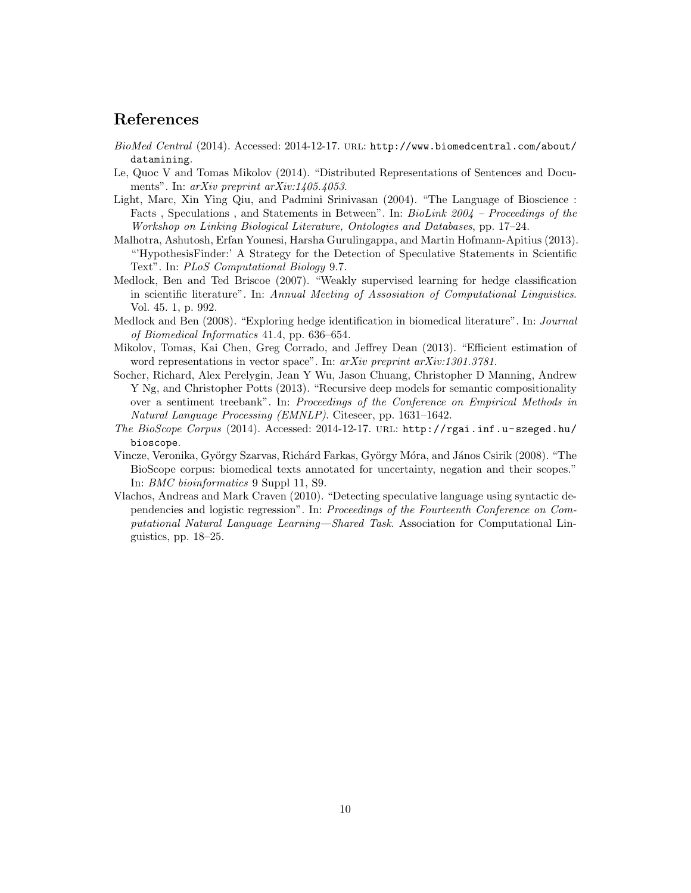### References

- BioMed Central (2014). Accessed: 2014-12-17. url: http://www.biomedcentral.com/about/ datamining.
- Le, Quoc V and Tomas Mikolov (2014). "Distributed Representations of Sentences and Documents". In: arXiv preprint arXiv:1405.4053.
- Light, Marc, Xin Ying Qiu, and Padmini Srinivasan (2004). "The Language of Bioscience : Facts, Speculations, and Statements in Between". In: BioLink 2004 – Proceedings of the Workshop on Linking Biological Literature, Ontologies and Databases, pp. 17–24.
- Malhotra, Ashutosh, Erfan Younesi, Harsha Gurulingappa, and Martin Hofmann-Apitius (2013). "'HypothesisFinder:' A Strategy for the Detection of Speculative Statements in Scientific Text". In: PLoS Computational Biology 9.7.
- Medlock, Ben and Ted Briscoe (2007). "Weakly supervised learning for hedge classification in scientific literature". In: Annual Meeting of Assosiation of Computational Linguistics. Vol. 45. 1, p. 992.
- Medlock and Ben (2008). "Exploring hedge identification in biomedical literature". In: Journal of Biomedical Informatics 41.4, pp. 636–654.
- Mikolov, Tomas, Kai Chen, Greg Corrado, and Jeffrey Dean (2013). "Efficient estimation of word representations in vector space". In: arXiv preprint arXiv:1301.3781.
- Socher, Richard, Alex Perelygin, Jean Y Wu, Jason Chuang, Christopher D Manning, Andrew Y Ng, and Christopher Potts (2013). "Recursive deep models for semantic compositionality over a sentiment treebank". In: Proceedings of the Conference on Empirical Methods in Natural Language Processing (EMNLP). Citeseer, pp. 1631–1642.
- The BioScope Corpus (2014). Accessed: 2014-12-17. URL: http://rgai.inf.u-szeged.hu/ bioscope.
- Vincze, Veronika, György Szarvas, Richárd Farkas, György Móra, and János Csirik (2008). "The BioScope corpus: biomedical texts annotated for uncertainty, negation and their scopes." In: BMC bioinformatics 9 Suppl 11, S9.
- Vlachos, Andreas and Mark Craven (2010). "Detecting speculative language using syntactic dependencies and logistic regression". In: Proceedings of the Fourteenth Conference on Computational Natural Language Learning—Shared Task. Association for Computational Linguistics, pp. 18–25.